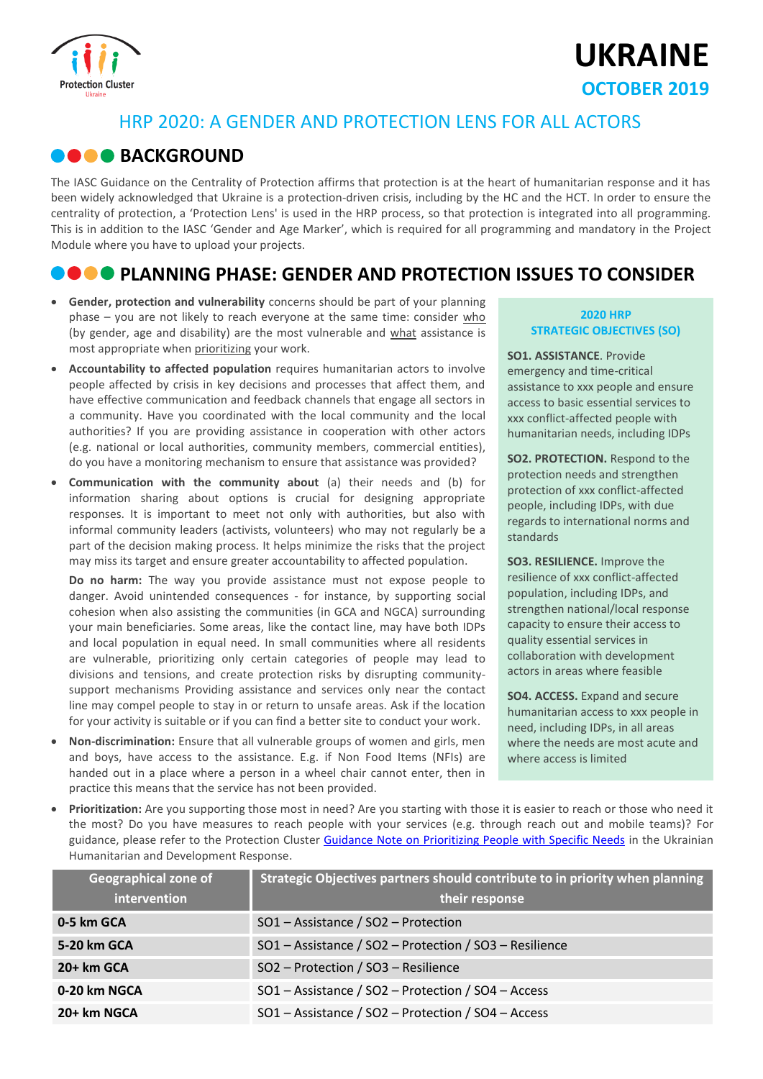

# **UKRAINE OCTOBER 2019**

### HRP 2020: A GENDER AND PROTECTION LENS FOR ALL ACTORS

### **BACKGROUND**

The IASC Guidance on the Centrality of Protection affirms that protection is at the heart of humanitarian response and it has been widely acknowledged that Ukraine is a protection-driven crisis, including by the HC and the HCT. In order to ensure the centrality of protection, a 'Protection Lens' is used in the HRP process, so that protection is integrated into all programming. This is in addition to the IASC 'Gender and Age Marker', which is required for all programming and mandatory in the Project Module where you have to upload your projects.

### **PLANNING PHASE: GENDER AND PROTECTION ISSUES TO CONSIDER**

- **Gender, protection and vulnerability** concerns should be part of your planning phase – you are not likely to reach everyone at the same time: consider who (by gender, age and disability) are the most vulnerable and what assistance is most appropriate when prioritizing your work.
- **Accountability to affected population** requires humanitarian actors to involve people affected by crisis in key decisions and processes that affect them, and have effective communication and feedback channels that engage all sectors in a community. Have you coordinated with the local community and the local authorities? If you are providing assistance in cooperation with other actors (e.g. national or local authorities, community members, commercial entities), do you have a monitoring mechanism to ensure that assistance was provided?
- **Communication with the community about** (a) their needs and (b) for information sharing about options is crucial for designing appropriate responses. It is important to meet not only with authorities, but also with informal community leaders (activists, volunteers) who may not regularly be a part of the decision making process. It helps minimize the risks that the project may miss its target and ensure greater accountability to affected population.

**Do no harm:** The way you provide assistance must not expose people to danger. Avoid unintended consequences - for instance, by supporting social cohesion when also assisting the communities (in GCA and NGCA) surrounding your main beneficiaries. Some areas, like the contact line, may have both IDPs and local population in equal need. In small communities where all residents are vulnerable, prioritizing only certain categories of people may lead to divisions and tensions, and create protection risks by disrupting communitysupport mechanisms Providing assistance and services only near the contact line may compel people to stay in or return to unsafe areas. Ask if the location for your activity is suitable or if you can find a better site to conduct your work.

 **Non-discrimination:** Ensure that all vulnerable groups of women and girls, men and boys, have access to the assistance. E.g. if Non Food Items (NFIs) are handed out in a place where a person in a wheel chair cannot enter, then in practice this means that the service has not been provided.

### **2020 HRP STRATEGIC OBJECTIVES (SO)**

**SO1. ASSISTANCE**. Provide emergency and time-critical assistance to xxx people and ensure access to basic essential services to xxx conflict-affected people with humanitarian needs, including IDPs

**SO2. PROTECTION.** Respond to the protection needs and strengthen protection of xxx conflict-affected people, including IDPs, with due regards to international norms and standards

**SO3. RESILIENCE.** Improve the resilience of xxx conflict-affected population, including IDPs, and strengthen national/local response capacity to ensure their access to quality essential services in collaboration with development actors in areas where feasible

**SO4. ACCESS.** Expand and secure humanitarian access to xxx people in need, including IDPs, in all areas where the needs are most acute and where access is limited

 **Prioritization:** Are you supporting those most in need? Are you starting with those it is easier to reach or those who need it the most? Do you have measures to reach people with your services (e.g. through reach out and mobile teams)? For guidance, please refer to the Protection Cluster [Guidance Note on Prioritizing People with Specific Needs](https://www.humanitarianresponse.info/en/operations/ukraine/document/protection-cluster-guidance-note-prioritizing-people-specific-needs) in the Ukrainian Humanitarian and Development Response.

| <b>Geographical zone of</b><br>intervention | Strategic Objectives partners should contribute to in priority when planning<br>their response |
|---------------------------------------------|------------------------------------------------------------------------------------------------|
| 0-5 km GCA                                  | SO1 - Assistance / SO2 - Protection                                                            |
| 5-20 km GCA                                 | SO1 - Assistance / SO2 - Protection / SO3 - Resilience                                         |
| $20+km GCA$                                 | SO2 - Protection / SO3 - Resilience                                                            |
| 0-20 km NGCA                                | SO1 - Assistance / SO2 - Protection / SO4 - Access                                             |
| 20+ km NGCA                                 | SO1 - Assistance / SO2 - Protection / SO4 - Access                                             |